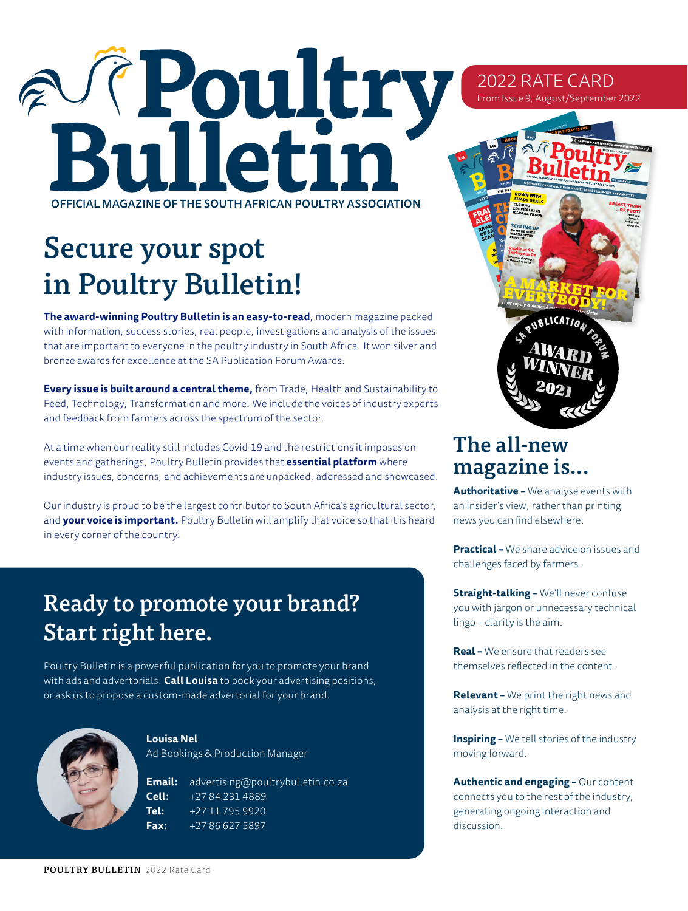# Teoultr OFFICIAL MAGAZINE OF THE SOUTH AFRICAN POULTRY ASSOCIATION

## Secure your spot in Poultry Bulletin!

**The award-winning Poultry Bulletin is an easy-to-read**, modern magazine packed with information, success stories, real people, investigations and analysis of the issues that are important to everyone in the poultry industry in South Africa. It won silver and bronze awards for excellence at the SA Publication Forum Awards.

**Every issue is built around a central theme,** from Trade, Health and Sustainability to Feed, Technology, Transformation and more. We include the voices of industry experts and feedback from farmers across the spectrum of the sector.

At a time when our reality still includes Covid-19 and the restrictions it imposes on events and gatherings, Poultry Bulletin provides that **essential platform** where industry issues, concerns, and achievements are unpacked, addressed and showcased.

Our industry is proud to be the largest contributor to South Africa's agricultural sector, and **your voice is important.** Poultry Bulletin will amplify that voice so that it is heard in every corner of the country.

#### Ready to promote your brand? Start right here.

Poultry Bulletin is a powerful publication for you to promote your brand with ads and advertorials. **Call Louisa** to book your advertising positions, or ask us to propose a custom-made advertorial for your brand.



**Louisa Nel** 

Ad Bookings & Production Manager

**Email:** advertising@poultrybulletin.co.za **Cell:** +27 84 231 4889 **Tel:** +27 11 795 9920 **Fax:** +27 86 627 5897

## The all-new magazine is...

2022 RATE CARD From Issue 9, August/September 2022

**+**

**Authoritative –** We analyse events with an insider's view, rather than printing news you can find elsewhere.

**Practical –** We share advice on issues and challenges faced by farmers.

**Straight-talking –** We'll never confuse you with jargon or unnecessary technical lingo – clarity is the aim.

**Real –** We ensure that readers see themselves reflected in the content.

**Relevant –** We print the right news and analysis at the right time.

**Inspiring –** We tell stories of the industry moving forward.

**Authentic and engaging –** Our content connects you to the rest of the industry, generating ongoing interaction and discussion.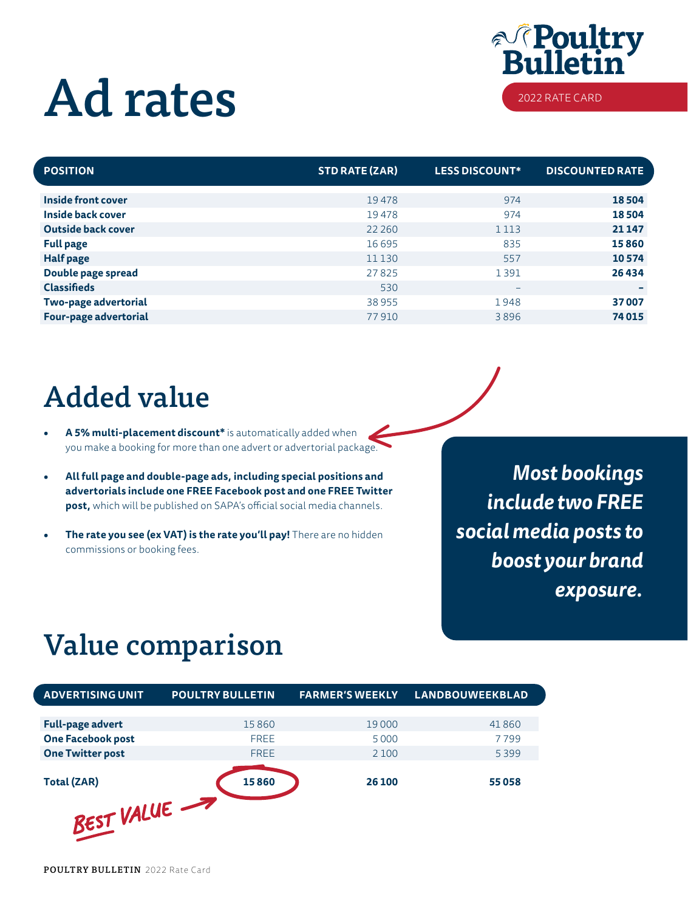## Ad rates



| <b>POSITION</b>           | <b>STD RATE (ZAR)</b> | <b>LESS DISCOUNT*</b>    | <b>DISCOUNTED RATE</b> |
|---------------------------|-----------------------|--------------------------|------------------------|
| <b>Inside front cover</b> | 19478                 | 974                      | 18504                  |
| Inside back cover         | 19478                 | 974                      | 18504                  |
| <b>Outside back cover</b> | 22 2 6 0              | 1 1 1 3                  | 21 147                 |
| <b>Full page</b>          | 16 6 95               | 835                      | 15860                  |
| <b>Half page</b>          | 11 130                | 557                      | 10574                  |
| Double page spread        | 27825                 | 1391                     | 26434                  |
| <b>Classifieds</b>        | 530                   | $\overline{\phantom{0}}$ |                        |
| Two-page advertorial      | 38955                 | 1948                     | 37007                  |
| Four-page advertorial     | 77910                 | 3896                     | 74 015                 |

## Added value

- **• A 5% multi-placement discount\*** is automatically added when you make a booking for more than one advert or advertorial package.
- **• All full page and double-page ads, including special positions and advertorials include one FREE Facebook post and one FREE Twitter post,** which will be published on SAPA's official social media channels.
- **The rate you see (ex VAT) is the rate you'll pay!** There are no hidden commissions or booking fees.

*Most bookings include two FREE social media posts to boost your brand exposure.*

## Value comparison

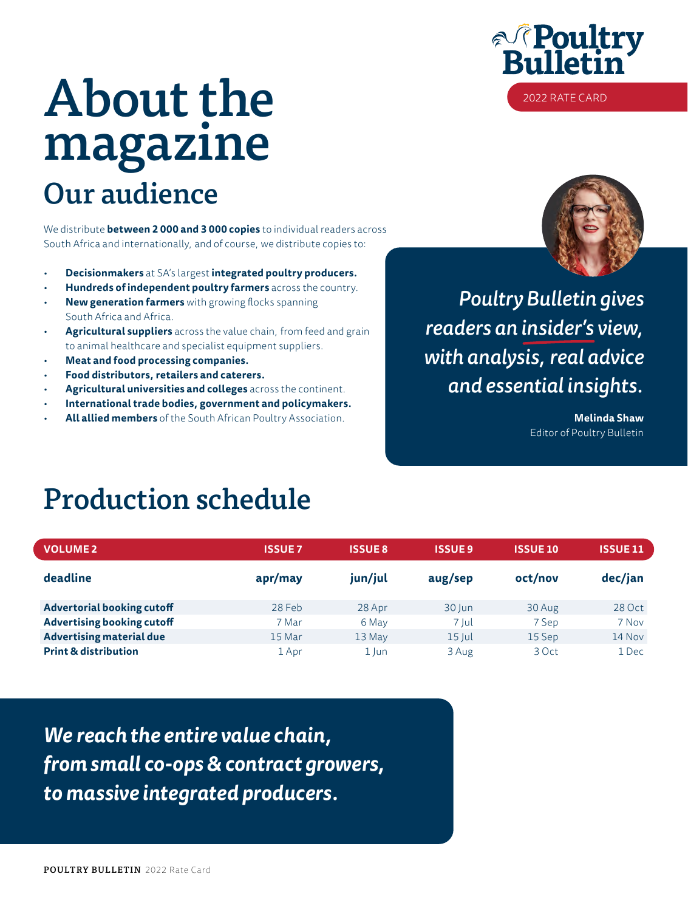## Our audience About the magazine

We distribute **between 2 000 and 3 000 copies** to individual readers across South Africa and internationally, and of course, we distribute copies to:

- **Decisionmakers** at SA's largest **integrated poultry producers.**
- **Hundreds of independent poultry farmers** across the country.
- **New generation farmers** with growing flocks spanning South Africa and Africa.
- **Agricultural suppliers** across the value chain, from feed and grain to animal healthcare and specialist equipment suppliers.
- **Meat and food processing companies.**
- **Food distributors, retailers and caterers.**
- **Agricultural universities and colleges** across the continent.
- **International trade bodies, government and policymakers.**
- **All allied members** of the South African Poultry Association.





*Poultry Bulletin gives readers an insider's view, with analysis, real advice and essential insights.*

> **Melinda Shaw** Editor of Poultry Bulletin

#### Production schedule

| <b>VOLUME 2</b>                   | <b>ISSUE 7</b> | <b>ISSUE 8</b> | <b>ISSUE 9</b> | <b>ISSUE 10</b> | <b>ISSUE11</b> |
|-----------------------------------|----------------|----------------|----------------|-----------------|----------------|
| deadline                          | apr/may        | jun/jul        | aug/sep        | oct/nov         | dec/jan        |
| <b>Advertorial booking cutoff</b> | 28 Feb         | 28 Apr         | 30 Jun         | 30 Aug          | 28 Oct         |
| <b>Advertising booking cutoff</b> | 7 Mar          | 6 May          | 7 Jul          | 7 Sep           | 7 Nov          |
| <b>Advertising material due</b>   | 15 Mar         | 13 May         | $15$ Jul       | 15 Sep          | 14 Nov         |
| <b>Print &amp; distribution</b>   | 1 Apr          | $1$ Jun        | 3 Aug          | 3 Oct           | 1 Dec          |

*We reach the entire value chain, from small co-ops & contract growers, to massive integrated producers.*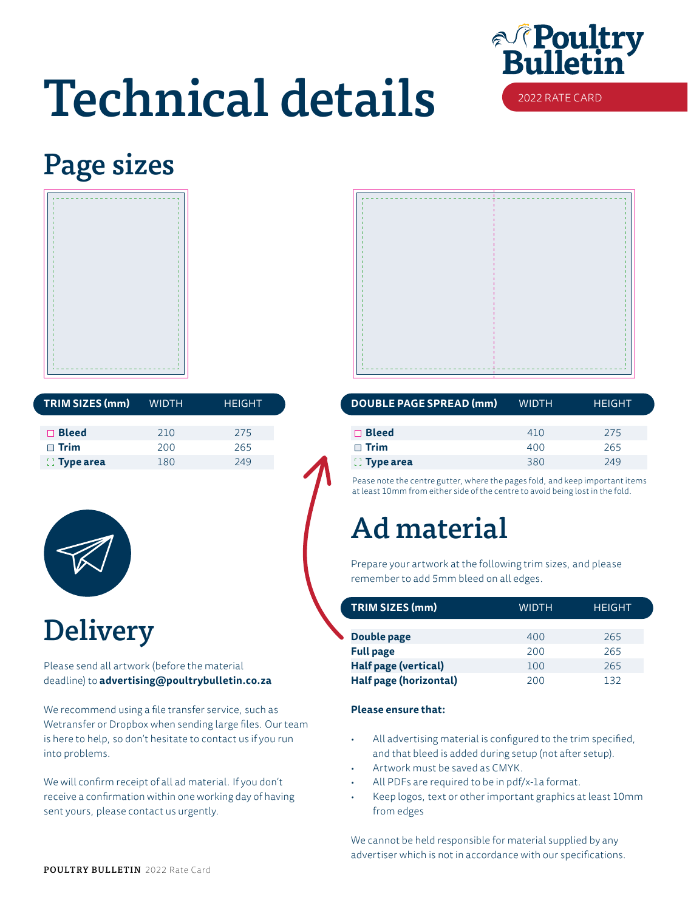

## Technical details

## Page sizes



| TRIM SIZES (mm)  | <b>WIDTH</b> | <b>HEIGHT</b> | DOUBLE PAGE SPREAD (mm) |
|------------------|--------------|---------------|-------------------------|
| $\Box$ Bleed     | 210          | 275           | $\Box$ Bleed            |
| $\Box$ Trim      | 200          | 265           | $\sqcap$ Trim           |
| $\Box$ Type area | 180          | 249           | $\Box$ Type area        |



### **Delivery**

Please send all artwork (before the material deadline) to **advertising@poultrybulletin.co.za**

We recommend using a file transfer service, such as Wetransfer or Dropbox when sending large files. Our team is here to help, so don't hesitate to contact us if you run into problems.

We will confirm receipt of all ad material. If you don't receive a confirmation within one working day of having sent yours, please contact us urgently.

| <b>WIDTH</b> | <b>HEIGHT</b> | DOUBLE PAGE SPREAD (mm) | <b>WIDTH</b> | <b>HEIGHT</b> |
|--------------|---------------|-------------------------|--------------|---------------|
|              |               |                         |              |               |
| 210          | 275           | $\Box$ Bleed            | 410          | 275           |
| 200          | 265           | $\Box$ Trim             | 400          | 265           |
| 180          | 249           | $\mathbb{C}$ Type area  | 380          | 249           |

Pease note the centre gutter, where the pages fold, and keep important items at least 10mm from either side of the centre to avoid being lost in the fold.

### Ad material

Prepare your artwork at the following trim sizes, and please remember to add 5mm bleed on all edges.

| TRIM SIZES (mm)        | <b>WIDTH</b> | <b>HEIGHT</b> |  |
|------------------------|--------------|---------------|--|
|                        |              |               |  |
| Double page            | 400          | 265           |  |
| <b>Full page</b>       | 200          | 265           |  |
| Half page (vertical)   | 100          | 265           |  |
| Half page (horizontal) | 200          | 132           |  |

#### **Please ensure that:**

- All advertising material is configured to the trim specified, and that bleed is added during setup (not after setup).
- Artwork must be saved as CMYK.
- All PDFs are required to be in pdf/x-1a format.
- Keep logos, text or other important graphics at least 10mm from edges

We cannot be held responsible for material supplied by any advertiser which is not in accordance with our specifications.